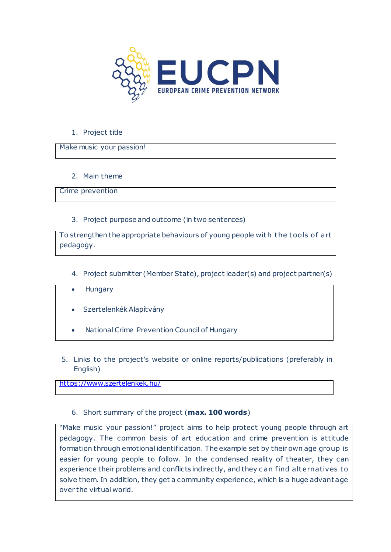

## 1. Project title

Make music your passion!

2. Main theme

Crime prevention

3. Project purpose and outcome (in two sentences)

To strengthen the appropriate behaviours of young people with the tools of art pedagogy.

- 4. Project submitter (Member State), project leader(s) and project partner(s)
- **Hungary**
- Szertelenkék Alapítvány
- National Crime Prevention Council of Hungary
- 5. Links to the project's website or online reports/publications (preferably in English)

<https://www.szertelenkek.hu/>

6. Short summary of the project (**max. 100 words**)

"Make music your passion!" project aims to help protect young people through art pedagogy. The common basis of art education and crime prevention is attitude formation through emotional identification. The example set by their own age group is easier for young people to follow. In the condensed reality of theater, they can experience their problems and conflicts indirectly, and they can find alternatives to solve them. In addition, they get a community experience, which is a huge advant age over the virtual world.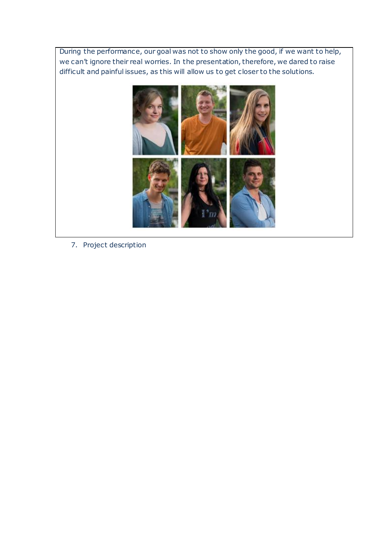During the performance, our goal was not to show only the good, if we want to help, we can't ignore their real worries. In the presentation, therefore, we dared to raise difficult and painful issues, as this will allow us to get closer to the solutions.



7. Project description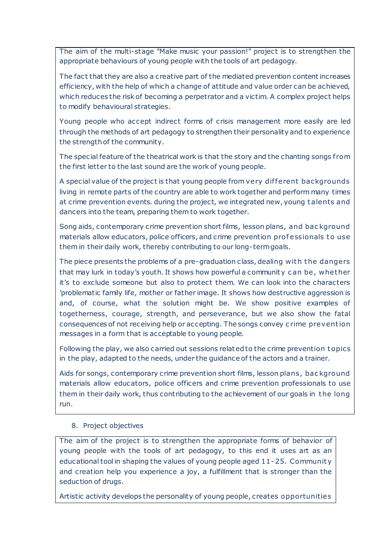The aim of the multi-stage "Make music your passion!" project is to strengthen the appropriate behaviours of young people with the tools of art pedagogy.

The fact that they are also a creative part of the mediated prevention content increases efficiency, with the help of which a change of attitude and value order can be achieved, which reduces the risk of becoming a perpetrator and a victim. A complex project helps to modify behavioural strategies.

Young people who accept indirect forms of crisis management more easily are led through the methods of art pedagogy to strengthen their personality and to experience the strength of the community.

The special feature of the theatrical work is that the story and the chanting songs from the first letter to the last sound are the work of young people.

A special value of the project is that young people from very dif ferent backgrounds living in remote parts of the country are able to work together and perform many times at crime prevention events. during the project, we integrated new, young t alents and dancers into the team, preparing them to work together.

Song aids, contemporary crime prevention short films, lesson plans, and bac kground materials allow educators, police officers, and crime prevention professionals to use them in their daily work, thereby contributing to our long-term goals.

The piece presents the problems of a pre-graduation class, dealing with the dangers that may lurk in today's youth. It shows how powerful a communit y c an be , whet her it's to exclude someone but also to protect them. We can look into the characters 'problematic family life, mother or father image. It shows how destructive aggression is and, of course, what the solution might be. We show positive examples of togetherness, courage, strength, and perseverance, but we also show the fatal consequences of not receiving help or accepting. The songs convey c rime prevent ion messages in a form that is acceptable to young people.

Following the play, we also carried out sessions related to the crime prevention t opics in the play, adapted to the needs, under the guidance of the actors and a trainer.

Aids for songs, contemporary crime prevention short films, lesson plans , bac kground materials allow educators, police officers and crime prevention professionals to use them in their daily work, thus contributing to the achievement of our goals in t he long run.

# 8. Project objectives

The aim of the project is to strengthen the appropriate forms of behavior of young people with the tools of art pedagogy, to this end it uses art as an educational tool in shaping the values of young people aged 11- 25. Communit y and creation help you experience a joy, a fulfillment that is stronger than the seduction of drugs.

Artistic activity develops the personality of young people, creates opportunities